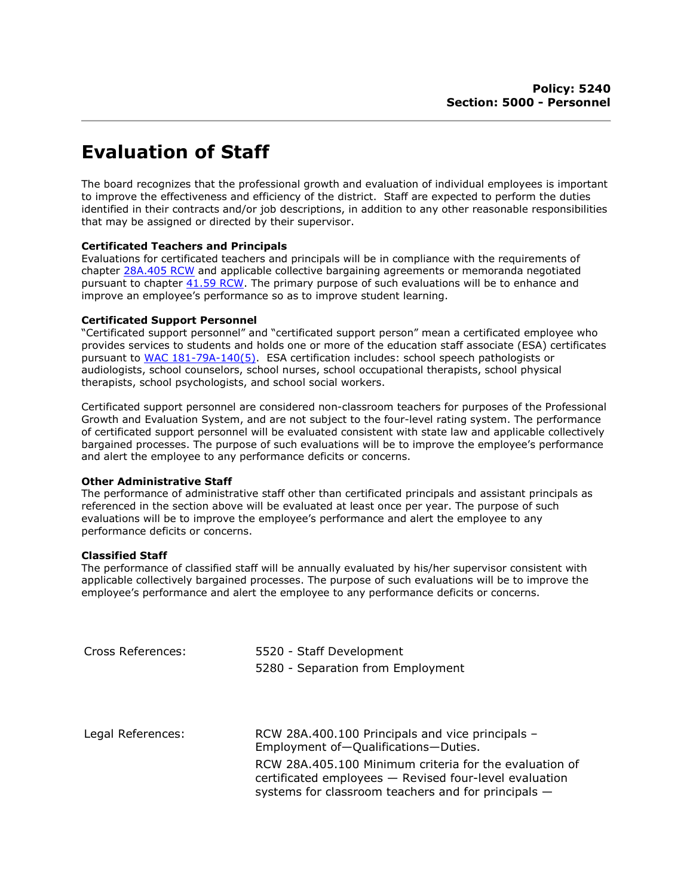# Evaluation of Staff

The board recognizes that the professional growth and evaluation of individual employees is important to improve the effectiveness and efficiency of the district. Staff are expected to perform the duties identified in their contracts and/or job descriptions, in addition to any other reasonable responsibilities that may be assigned or directed by their supervisor.

## Certificated Teachers and Principals

Evaluations for certificated teachers and principals will be in compliance with the requirements of chapter 28A.405 RCW and applicable collective bargaining agreements or memoranda negotiated pursuant to chapter 41.59 RCW. The primary purpose of such evaluations will be to enhance and improve an employee's performance so as to improve student learning.

## Certificated Support Personnel

"Certificated support personnel" and "certificated support person" mean a certificated employee who provides services to students and holds one or more of the education staff associate (ESA) certificates pursuant to WAC 181-79A-140(5). ESA certification includes: school speech pathologists or audiologists, school counselors, school nurses, school occupational therapists, school physical therapists, school psychologists, and school social workers.

Certificated support personnel are considered non-classroom teachers for purposes of the Professional Growth and Evaluation System, and are not subject to the four-level rating system. The performance of certificated support personnel will be evaluated consistent with state law and applicable collectively bargained processes. The purpose of such evaluations will be to improve the employee's performance and alert the employee to any performance deficits or concerns.

### Other Administrative Staff

The performance of administrative staff other than certificated principals and assistant principals as referenced in the section above will be evaluated at least once per year. The purpose of such evaluations will be to improve the employee's performance and alert the employee to any performance deficits or concerns.

### Classified Staff

The performance of classified staff will be annually evaluated by his/her supervisor consistent with applicable collectively bargained processes. The purpose of such evaluations will be to improve the employee's performance and alert the employee to any performance deficits or concerns.

| Cross References: | 5520 - Staff Development<br>5280 - Separation from Employment                                                                                                           |
|-------------------|-------------------------------------------------------------------------------------------------------------------------------------------------------------------------|
| Legal References: | RCW 28A.400.100 Principals and vice principals -<br>Employment of-Qualifications-Duties.                                                                                |
|                   | RCW 28A.405.100 Minimum criteria for the evaluation of<br>certificated employees - Revised four-level evaluation<br>systems for classroom teachers and for principals - |